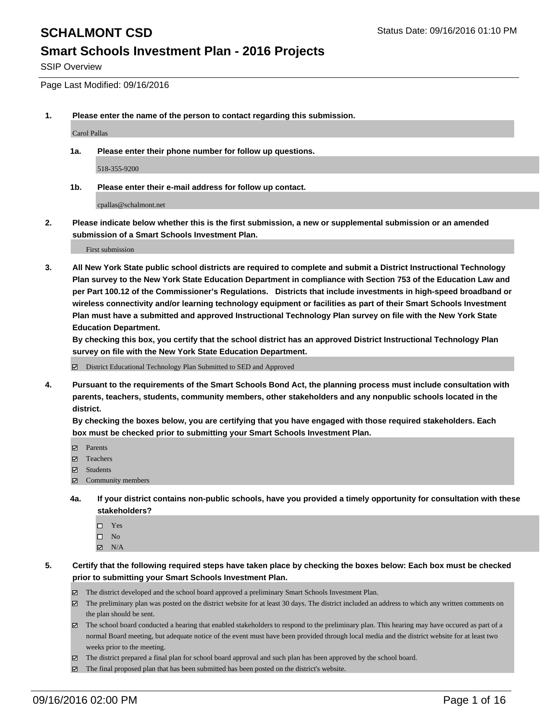SSIP Overview

Page Last Modified: 09/16/2016

**1. Please enter the name of the person to contact regarding this submission.**

Carol Pallas

**1a. Please enter their phone number for follow up questions.**

518-355-9200

**1b. Please enter their e-mail address for follow up contact.**

cpallas@schalmont.net

**2. Please indicate below whether this is the first submission, a new or supplemental submission or an amended submission of a Smart Schools Investment Plan.**

First submission

**3. All New York State public school districts are required to complete and submit a District Instructional Technology Plan survey to the New York State Education Department in compliance with Section 753 of the Education Law and per Part 100.12 of the Commissioner's Regulations. Districts that include investments in high-speed broadband or wireless connectivity and/or learning technology equipment or facilities as part of their Smart Schools Investment Plan must have a submitted and approved Instructional Technology Plan survey on file with the New York State Education Department.** 

**By checking this box, you certify that the school district has an approved District Instructional Technology Plan survey on file with the New York State Education Department.**

District Educational Technology Plan Submitted to SED and Approved

**4. Pursuant to the requirements of the Smart Schools Bond Act, the planning process must include consultation with parents, teachers, students, community members, other stakeholders and any nonpublic schools located in the district.** 

**By checking the boxes below, you are certifying that you have engaged with those required stakeholders. Each box must be checked prior to submitting your Smart Schools Investment Plan.**

- Parents
- Teachers
- $\boxtimes$  Students
- Community members
- **4a. If your district contains non-public schools, have you provided a timely opportunity for consultation with these stakeholders?**
	- $\Box$  Yes  $\square$  No
	- $\boxtimes$  N/A
- **5. Certify that the following required steps have taken place by checking the boxes below: Each box must be checked prior to submitting your Smart Schools Investment Plan.**
	- The district developed and the school board approved a preliminary Smart Schools Investment Plan.
	- The preliminary plan was posted on the district website for at least 30 days. The district included an address to which any written comments on the plan should be sent.
	- $\boxtimes$  The school board conducted a hearing that enabled stakeholders to respond to the preliminary plan. This hearing may have occured as part of a normal Board meeting, but adequate notice of the event must have been provided through local media and the district website for at least two weeks prior to the meeting.
	- The district prepared a final plan for school board approval and such plan has been approved by the school board.
	- $\boxtimes$  The final proposed plan that has been submitted has been posted on the district's website.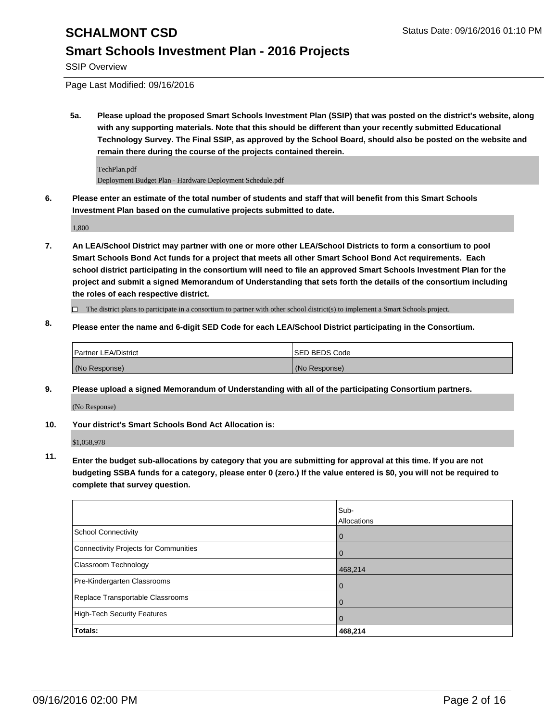SSIP Overview

Page Last Modified: 09/16/2016

**5a. Please upload the proposed Smart Schools Investment Plan (SSIP) that was posted on the district's website, along with any supporting materials. Note that this should be different than your recently submitted Educational Technology Survey. The Final SSIP, as approved by the School Board, should also be posted on the website and remain there during the course of the projects contained therein.**

TechPlan.pdf Deployment Budget Plan - Hardware Deployment Schedule.pdf

**6. Please enter an estimate of the total number of students and staff that will benefit from this Smart Schools Investment Plan based on the cumulative projects submitted to date.**

1,800

**7. An LEA/School District may partner with one or more other LEA/School Districts to form a consortium to pool Smart Schools Bond Act funds for a project that meets all other Smart School Bond Act requirements. Each school district participating in the consortium will need to file an approved Smart Schools Investment Plan for the project and submit a signed Memorandum of Understanding that sets forth the details of the consortium including the roles of each respective district.**

 $\Box$  The district plans to participate in a consortium to partner with other school district(s) to implement a Smart Schools project.

**8. Please enter the name and 6-digit SED Code for each LEA/School District participating in the Consortium.**

| Partner LEA/District | <b>ISED BEDS Code</b> |
|----------------------|-----------------------|
| (No Response)        | (No Response)         |

**9. Please upload a signed Memorandum of Understanding with all of the participating Consortium partners.** (No Response)

**10. Your district's Smart Schools Bond Act Allocation is:**

\$1,058,978

**11. Enter the budget sub-allocations by category that you are submitting for approval at this time. If you are not budgeting SSBA funds for a category, please enter 0 (zero.) If the value entered is \$0, you will not be required to complete that survey question.**

|                                       | Sub-<br>Allocations |
|---------------------------------------|---------------------|
| School Connectivity                   | $\bf{0}$            |
| Connectivity Projects for Communities |                     |
| <b>Classroom Technology</b>           | 468,214             |
| Pre-Kindergarten Classrooms           |                     |
| Replace Transportable Classrooms      |                     |
| High-Tech Security Features           | O                   |
| Totals:                               | 468,214             |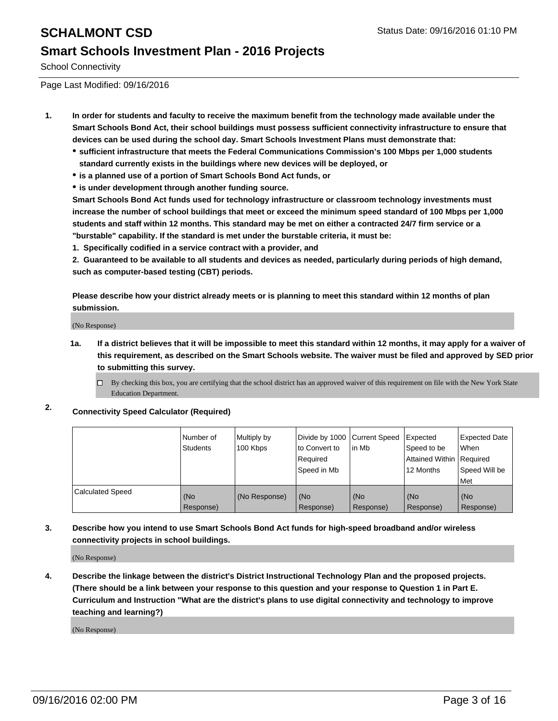School Connectivity

Page Last Modified: 09/16/2016

- **1. In order for students and faculty to receive the maximum benefit from the technology made available under the Smart Schools Bond Act, their school buildings must possess sufficient connectivity infrastructure to ensure that devices can be used during the school day. Smart Schools Investment Plans must demonstrate that:**
	- **sufficient infrastructure that meets the Federal Communications Commission's 100 Mbps per 1,000 students standard currently exists in the buildings where new devices will be deployed, or**
	- **is a planned use of a portion of Smart Schools Bond Act funds, or**
	- **is under development through another funding source.**

**Smart Schools Bond Act funds used for technology infrastructure or classroom technology investments must increase the number of school buildings that meet or exceed the minimum speed standard of 100 Mbps per 1,000 students and staff within 12 months. This standard may be met on either a contracted 24/7 firm service or a "burstable" capability. If the standard is met under the burstable criteria, it must be:**

**1. Specifically codified in a service contract with a provider, and**

**2. Guaranteed to be available to all students and devices as needed, particularly during periods of high demand, such as computer-based testing (CBT) periods.**

**Please describe how your district already meets or is planning to meet this standard within 12 months of plan submission.**

(No Response)

- **1a. If a district believes that it will be impossible to meet this standard within 12 months, it may apply for a waiver of this requirement, as described on the Smart Schools website. The waiver must be filed and approved by SED prior to submitting this survey.**
	- $\Box$  By checking this box, you are certifying that the school district has an approved waiver of this requirement on file with the New York State Education Department.
- **2. Connectivity Speed Calculator (Required)**

|                         | l Number of<br>Students | Multiply by<br>100 Kbps | Divide by 1000 Current Speed<br>lto Convert to<br>Reauired<br>Speed in Mb | lin Mb           | Expected<br>Speed to be<br>Attained Within   Required<br>12 Months | <b>Expected Date</b><br><b>When</b><br>Speed Will be<br>l Met |
|-------------------------|-------------------------|-------------------------|---------------------------------------------------------------------------|------------------|--------------------------------------------------------------------|---------------------------------------------------------------|
| <b>Calculated Speed</b> | (No<br>Response)        | (No Response)           | (No<br>Response)                                                          | (No<br>Response) | (No<br>Response)                                                   | l (No<br>Response)                                            |

### **3. Describe how you intend to use Smart Schools Bond Act funds for high-speed broadband and/or wireless connectivity projects in school buildings.**

(No Response)

**4. Describe the linkage between the district's District Instructional Technology Plan and the proposed projects. (There should be a link between your response to this question and your response to Question 1 in Part E. Curriculum and Instruction "What are the district's plans to use digital connectivity and technology to improve teaching and learning?)**

(No Response)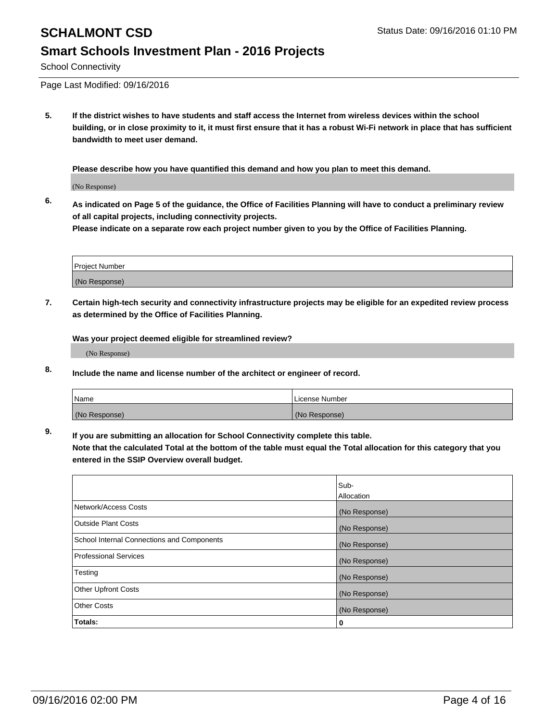# **SCHALMONT CSD** Status Date: 09/16/2016 01:10 PM **Smart Schools Investment Plan - 2016 Projects**

School Connectivity

Page Last Modified: 09/16/2016

**5. If the district wishes to have students and staff access the Internet from wireless devices within the school building, or in close proximity to it, it must first ensure that it has a robust Wi-Fi network in place that has sufficient bandwidth to meet user demand.**

**Please describe how you have quantified this demand and how you plan to meet this demand.**

(No Response)

**6. As indicated on Page 5 of the guidance, the Office of Facilities Planning will have to conduct a preliminary review of all capital projects, including connectivity projects.**

**Please indicate on a separate row each project number given to you by the Office of Facilities Planning.**

| Project Number |  |
|----------------|--|
| (No Response)  |  |

**7. Certain high-tech security and connectivity infrastructure projects may be eligible for an expedited review process as determined by the Office of Facilities Planning.**

**Was your project deemed eligible for streamlined review?**

(No Response)

**8. Include the name and license number of the architect or engineer of record.**

| <b>Name</b>   | License Number |
|---------------|----------------|
| (No Response) | (No Response)  |

**9. If you are submitting an allocation for School Connectivity complete this table.**

**Note that the calculated Total at the bottom of the table must equal the Total allocation for this category that you entered in the SSIP Overview overall budget.** 

|                                            | Sub-              |
|--------------------------------------------|-------------------|
|                                            | <b>Allocation</b> |
| Network/Access Costs                       | (No Response)     |
| <b>Outside Plant Costs</b>                 | (No Response)     |
| School Internal Connections and Components | (No Response)     |
| <b>Professional Services</b>               | (No Response)     |
| Testing                                    | (No Response)     |
| <b>Other Upfront Costs</b>                 | (No Response)     |
| <b>Other Costs</b>                         | (No Response)     |
| Totals:                                    | 0                 |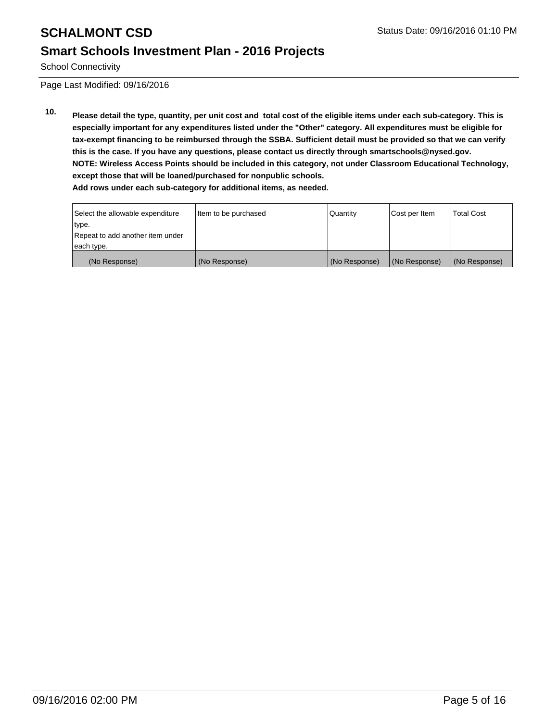School Connectivity

Page Last Modified: 09/16/2016

**10. Please detail the type, quantity, per unit cost and total cost of the eligible items under each sub-category. This is especially important for any expenditures listed under the "Other" category. All expenditures must be eligible for tax-exempt financing to be reimbursed through the SSBA. Sufficient detail must be provided so that we can verify this is the case. If you have any questions, please contact us directly through smartschools@nysed.gov. NOTE: Wireless Access Points should be included in this category, not under Classroom Educational Technology, except those that will be loaned/purchased for nonpublic schools. Add rows under each sub-category for additional items, as needed.**

| Select the allowable expenditure | Item to be purchased | <b>Quantity</b> | Cost per Item | <b>Total Cost</b> |
|----------------------------------|----------------------|-----------------|---------------|-------------------|
| type.                            |                      |                 |               |                   |
| Repeat to add another item under |                      |                 |               |                   |
| each type.                       |                      |                 |               |                   |
| (No Response)                    | (No Response)        | (No Response)   | (No Response) | (No Response)     |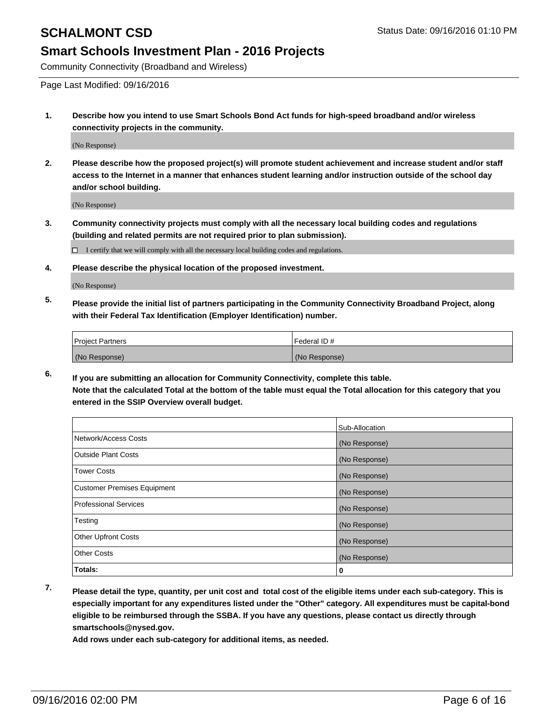Community Connectivity (Broadband and Wireless)

Page Last Modified: 09/16/2016

**1. Describe how you intend to use Smart Schools Bond Act funds for high-speed broadband and/or wireless connectivity projects in the community.**

(No Response)

**2. Please describe how the proposed project(s) will promote student achievement and increase student and/or staff access to the Internet in a manner that enhances student learning and/or instruction outside of the school day and/or school building.**

(No Response)

**3. Community connectivity projects must comply with all the necessary local building codes and regulations (building and related permits are not required prior to plan submission).**

 $\Box$  I certify that we will comply with all the necessary local building codes and regulations.

**4. Please describe the physical location of the proposed investment.**

(No Response)

**5. Please provide the initial list of partners participating in the Community Connectivity Broadband Project, along with their Federal Tax Identification (Employer Identification) number.**

| <b>Project Partners</b> | Federal ID#   |
|-------------------------|---------------|
| (No Response)           | (No Response) |

**6. If you are submitting an allocation for Community Connectivity, complete this table. Note that the calculated Total at the bottom of the table must equal the Total allocation for this category that you entered in the SSIP Overview overall budget.**

|                                    | Sub-Allocation |
|------------------------------------|----------------|
| Network/Access Costs               | (No Response)  |
| <b>Outside Plant Costs</b>         | (No Response)  |
| Tower Costs                        | (No Response)  |
| <b>Customer Premises Equipment</b> | (No Response)  |
| <b>Professional Services</b>       | (No Response)  |
| Testing                            | (No Response)  |
| <b>Other Upfront Costs</b>         | (No Response)  |
| <b>Other Costs</b>                 | (No Response)  |
| Totals:                            | 0              |

**7. Please detail the type, quantity, per unit cost and total cost of the eligible items under each sub-category. This is especially important for any expenditures listed under the "Other" category. All expenditures must be capital-bond eligible to be reimbursed through the SSBA. If you have any questions, please contact us directly through smartschools@nysed.gov.**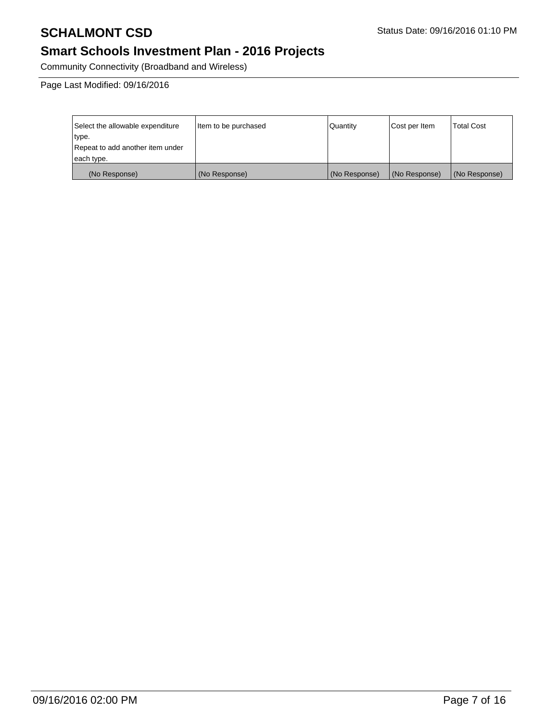# **SCHALMONT CSD** Status Date: 09/16/2016 01:10 PM

# **Smart Schools Investment Plan - 2016 Projects**

Community Connectivity (Broadband and Wireless)

Page Last Modified: 09/16/2016

| Select the allowable expenditure | Item to be purchased | Quantity      | Cost per Item | Total Cost    |
|----------------------------------|----------------------|---------------|---------------|---------------|
| type.                            |                      |               |               |               |
| Repeat to add another item under |                      |               |               |               |
| each type.                       |                      |               |               |               |
| (No Response)                    | (No Response)        | (No Response) | (No Response) | (No Response) |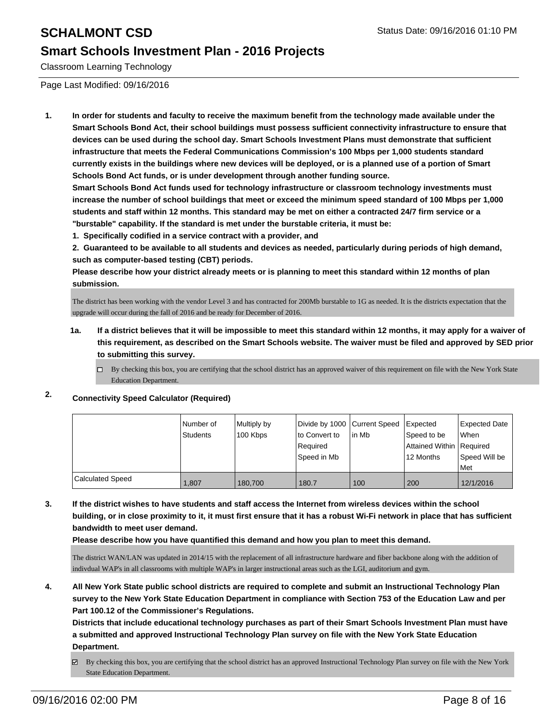Classroom Learning Technology

Page Last Modified: 09/16/2016

**1. In order for students and faculty to receive the maximum benefit from the technology made available under the Smart Schools Bond Act, their school buildings must possess sufficient connectivity infrastructure to ensure that devices can be used during the school day. Smart Schools Investment Plans must demonstrate that sufficient infrastructure that meets the Federal Communications Commission's 100 Mbps per 1,000 students standard currently exists in the buildings where new devices will be deployed, or is a planned use of a portion of Smart Schools Bond Act funds, or is under development through another funding source.**

**Smart Schools Bond Act funds used for technology infrastructure or classroom technology investments must increase the number of school buildings that meet or exceed the minimum speed standard of 100 Mbps per 1,000 students and staff within 12 months. This standard may be met on either a contracted 24/7 firm service or a "burstable" capability. If the standard is met under the burstable criteria, it must be:**

**1. Specifically codified in a service contract with a provider, and**

**2. Guaranteed to be available to all students and devices as needed, particularly during periods of high demand, such as computer-based testing (CBT) periods.**

**Please describe how your district already meets or is planning to meet this standard within 12 months of plan submission.**

The district has been working with the vendor Level 3 and has contracted for 200Mb burstable to 1G as needed. It is the districts expectation that the upgrade will occur during the fall of 2016 and be ready for December of 2016.

- **1a. If a district believes that it will be impossible to meet this standard within 12 months, it may apply for a waiver of this requirement, as described on the Smart Schools website. The waiver must be filed and approved by SED prior to submitting this survey.**
	- $\Box$  By checking this box, you are certifying that the school district has an approved waiver of this requirement on file with the New York State Education Department.

## **2. Connectivity Speed Calculator (Required)**

|                         | Number of<br>Students | Multiply by<br>100 Kbps | Divide by 1000 Current Speed<br>Ito Convert to<br>Required<br> Speed in Mb | lin Mb | <b>I</b> Expected<br>Speed to be<br>Attained Within Required<br>12 Months | <b>Expected Date</b><br><b>When</b><br>Speed Will be<br>l Met |
|-------------------------|-----------------------|-------------------------|----------------------------------------------------------------------------|--------|---------------------------------------------------------------------------|---------------------------------------------------------------|
| <b>Calculated Speed</b> | 1.807                 | 180.700                 | 180.7                                                                      | 100    | 200                                                                       | 12/1/2016                                                     |

**3. If the district wishes to have students and staff access the Internet from wireless devices within the school building, or in close proximity to it, it must first ensure that it has a robust Wi-Fi network in place that has sufficient bandwidth to meet user demand.**

**Please describe how you have quantified this demand and how you plan to meet this demand.**

The district WAN/LAN was updated in 2014/15 with the replacement of all infrastructure hardware and fiber backbone along with the addition of indivdual WAP's in all classrooms with multiple WAP's in larger instructional areas such as the LGI, auditorium and gym.

**4. All New York State public school districts are required to complete and submit an Instructional Technology Plan survey to the New York State Education Department in compliance with Section 753 of the Education Law and per Part 100.12 of the Commissioner's Regulations.**

**Districts that include educational technology purchases as part of their Smart Schools Investment Plan must have a submitted and approved Instructional Technology Plan survey on file with the New York State Education Department.**

By checking this box, you are certifying that the school district has an approved Instructional Technology Plan survey on file with the New York State Education Department.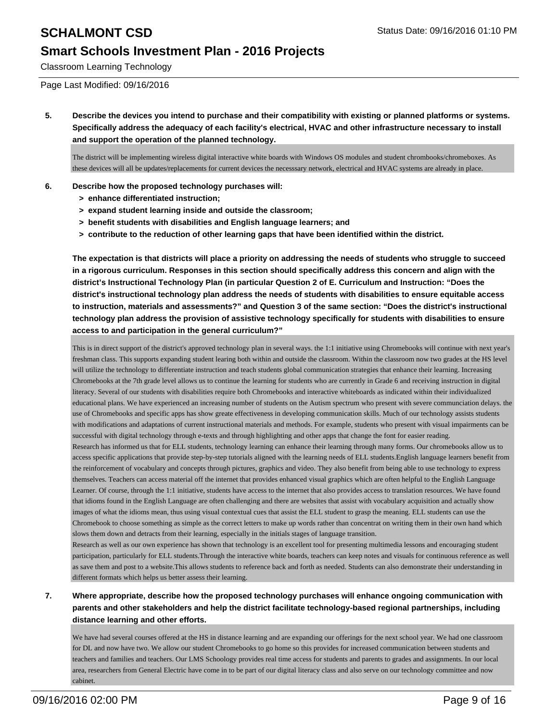Classroom Learning Technology

Page Last Modified: 09/16/2016

**5. Describe the devices you intend to purchase and their compatibility with existing or planned platforms or systems. Specifically address the adequacy of each facility's electrical, HVAC and other infrastructure necessary to install and support the operation of the planned technology.**

The district will be implementing wireless digital interactive white boards with Windows OS modules and student chrombooks/chromeboxes. As these devices will all be updates/replacements for current devices the necesssary network, electrical and HVAC systems are already in place.

### **6. Describe how the proposed technology purchases will:**

- **> enhance differentiated instruction;**
- **> expand student learning inside and outside the classroom;**
- **> benefit students with disabilities and English language learners; and**
- **> contribute to the reduction of other learning gaps that have been identified within the district.**

**The expectation is that districts will place a priority on addressing the needs of students who struggle to succeed in a rigorous curriculum. Responses in this section should specifically address this concern and align with the district's Instructional Technology Plan (in particular Question 2 of E. Curriculum and Instruction: "Does the district's instructional technology plan address the needs of students with disabilities to ensure equitable access to instruction, materials and assessments?" and Question 3 of the same section: "Does the district's instructional technology plan address the provision of assistive technology specifically for students with disabilities to ensure access to and participation in the general curriculum?"**

This is in direct support of the district's approved technology plan in several ways. the 1:1 initiative using Chromebooks will continue with next year's freshman class. This supports expanding student learing both within and outside the classroom. Within the classroom now two grades at the HS level will utilize the technology to differentiate instruction and teach students global communication strategies that enhance their learning. Increasing Chromebooks at the 7th grade level allows us to continue the learning for students who are currently in Grade 6 and receiving instruction in digital literacy. Several of our students with disabilities require both Chromebooks and interactive whiteboards as indicated within their individualized educational plans. We have experienced an increasing number of students on the Autism spectrum who present with severe communciation delays. the use of Chromebooks and specific apps has show greate effectiveness in developing communication skills. Much of our technology assists students with modifications and adaptations of current instructional materials and methods. For example, students who present with visual impairments can be successful with digital technology through e-texts and through highlighting and other apps that change the font for easier reading. Research has informed us that for ELL students, technology learning can enhance their learning through many forms. Our chromebooks allow us to access specific applications that provide step-by-step tutorials aligned with the learning needs of ELL students.English language learners benefit from the reinforcement of vocabulary and concepts through pictures, graphics and video. They also benefit from being able to use technology to express themselves. Teachers can access material off the internet that provides enhanced visual graphics which are often helpful to the English Language Learner. Of course, through the 1:1 initiative, students have access to the internet that also provides access to translation resources. We have found that idioms found in the English Language are often challenging and there are websites that assist with vocabulary acquisition and actually show images of what the idioms mean, thus using visual contextual cues that assist the ELL student to grasp the meaning. ELL students can use the Chromebook to choose something as simple as the correct letters to make up words rather than concentrat on writing them in their own hand which slows them down and detracts from their learning, especially in the initials stages of language transition.

Research as well as our own experience has shown that technology is an excellent tool for presenting multimedia lessons and encouraging student participation, particularly for ELL students.Through the interactive white boards, teachers can keep notes and visuals for continuous reference as well as save them and post to a website.This allows students to reference back and forth as needed. Students can also demonstrate their understanding in different formats which helps us better assess their learning.

### **7. Where appropriate, describe how the proposed technology purchases will enhance ongoing communication with parents and other stakeholders and help the district facilitate technology-based regional partnerships, including distance learning and other efforts.**

We have had several courses offered at the HS in distance learning and are expanding our offerings for the next school year. We had one classroom for DL and now have two. We allow our student Chromebooks to go home so this provides for increased communication between students and teachers and families and teachers. Our LMS Schoology provides real time access for students and parents to grades and assignments. In our local area, researchers from General Electric have come in to be part of our digital literacy class and also serve on our technology committee and now cabinet.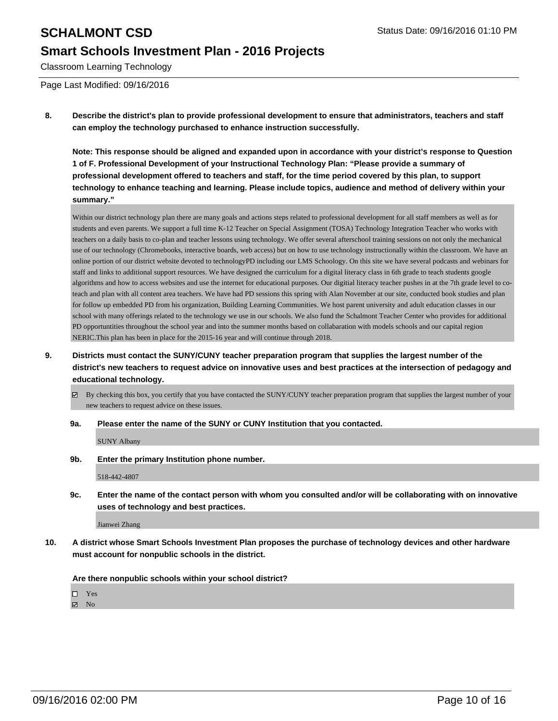Classroom Learning Technology

Page Last Modified: 09/16/2016

**8. Describe the district's plan to provide professional development to ensure that administrators, teachers and staff can employ the technology purchased to enhance instruction successfully.**

**Note: This response should be aligned and expanded upon in accordance with your district's response to Question 1 of F. Professional Development of your Instructional Technology Plan: "Please provide a summary of professional development offered to teachers and staff, for the time period covered by this plan, to support technology to enhance teaching and learning. Please include topics, audience and method of delivery within your summary."**

Within our district technology plan there are many goals and actions steps related to professional development for all staff members as well as for students and even parents. We support a full time K-12 Teacher on Special Assignment (TOSA) Technology Integration Teacher who works with teachers on a daily basis to co-plan and teacher lessons using technology. We offer several afterschool training sessions on not only the mechanical use of our technology (Chromebooks, interactive boards, web access) but on how to use technology instructionally within the classroom. We have an online portion of our district website devoted to technologyPD including our LMS Schoology. On this site we have several podcasts and webinars for staff and links to additional support resources. We have designed the curriculum for a digital literacy class in 6th grade to teach students google algorithms and how to access websites and use the internet for educational purposes. Our digitial literacy teacher pushes in at the 7th grade level to coteach and plan with all content area teachers. We have had PD sessions this spring with Alan November at our site, conducted book studies and plan for follow up embedded PD from his organization, Building Learning Communities. We host parent university and adult education classes in our school with many offerings related to the technology we use in our schools. We also fund the Schalmont Teacher Center who provides for additional PD opportuntities throughout the school year and into the summer months based on collabaration with models schools and our capital region NERIC.This plan has been in place for the 2015-16 year and will continue through 2018.

- **9. Districts must contact the SUNY/CUNY teacher preparation program that supplies the largest number of the district's new teachers to request advice on innovative uses and best practices at the intersection of pedagogy and educational technology.**
	- By checking this box, you certify that you have contacted the SUNY/CUNY teacher preparation program that supplies the largest number of your new teachers to request advice on these issues.
	- **9a. Please enter the name of the SUNY or CUNY Institution that you contacted.**

SUNY Albany

**9b. Enter the primary Institution phone number.**

518-442-4807

**9c. Enter the name of the contact person with whom you consulted and/or will be collaborating with on innovative uses of technology and best practices.**

Jianwei Zhang

**10. A district whose Smart Schools Investment Plan proposes the purchase of technology devices and other hardware must account for nonpublic schools in the district.**

**Are there nonpublic schools within your school district?**

□ Yes

 $\boxtimes$  No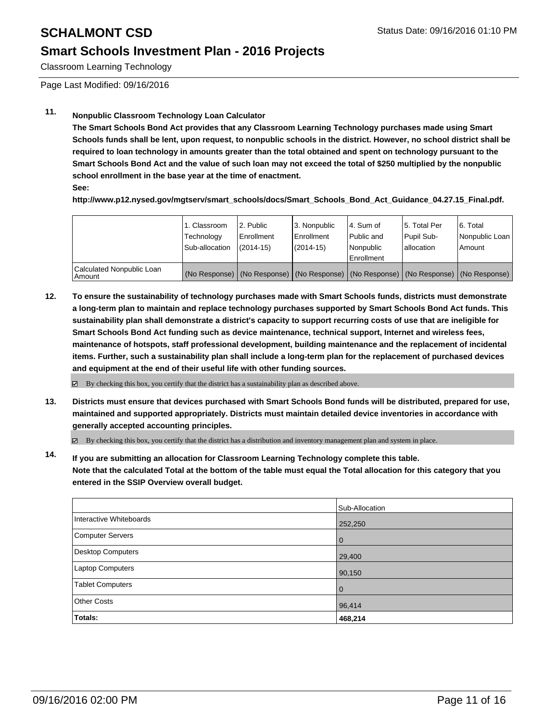Classroom Learning Technology

Page Last Modified: 09/16/2016

## **11. Nonpublic Classroom Technology Loan Calculator**

**The Smart Schools Bond Act provides that any Classroom Learning Technology purchases made using Smart Schools funds shall be lent, upon request, to nonpublic schools in the district. However, no school district shall be required to loan technology in amounts greater than the total obtained and spent on technology pursuant to the Smart Schools Bond Act and the value of such loan may not exceed the total of \$250 multiplied by the nonpublic school enrollment in the base year at the time of enactment.**

**See:**

**http://www.p12.nysed.gov/mgtserv/smart\_schools/docs/Smart\_Schools\_Bond\_Act\_Guidance\_04.27.15\_Final.pdf.**

|                                     | 1. Classroom<br>Technology<br>Sub-allocation | 2. Public<br>Enrollment<br>$(2014 - 15)$ | 3. Nonpublic<br><b>Enrollment</b><br>(2014-15) | 4. Sum of<br>Public and<br>Nonpublic<br>Enrollment                                            | 15. Total Per<br>Pupil Sub-<br>Iallocation | 6. Total<br>Nonpublic Loan  <br>Amount |
|-------------------------------------|----------------------------------------------|------------------------------------------|------------------------------------------------|-----------------------------------------------------------------------------------------------|--------------------------------------------|----------------------------------------|
| Calculated Nonpublic Loan<br>Amount |                                              |                                          |                                                | (No Response)   (No Response)   (No Response)   (No Response)   (No Response)   (No Response) |                                            |                                        |

**12. To ensure the sustainability of technology purchases made with Smart Schools funds, districts must demonstrate a long-term plan to maintain and replace technology purchases supported by Smart Schools Bond Act funds. This sustainability plan shall demonstrate a district's capacity to support recurring costs of use that are ineligible for Smart Schools Bond Act funding such as device maintenance, technical support, Internet and wireless fees, maintenance of hotspots, staff professional development, building maintenance and the replacement of incidental items. Further, such a sustainability plan shall include a long-term plan for the replacement of purchased devices and equipment at the end of their useful life with other funding sources.**

**⊠** By checking this box, you certify that the district has a sustainability plan as described above.

**13. Districts must ensure that devices purchased with Smart Schools Bond funds will be distributed, prepared for use, maintained and supported appropriately. Districts must maintain detailed device inventories in accordance with generally accepted accounting principles.**

By checking this box, you certify that the district has a distribution and inventory management plan and system in place.

**14. If you are submitting an allocation for Classroom Learning Technology complete this table. Note that the calculated Total at the bottom of the table must equal the Total allocation for this category that you entered in the SSIP Overview overall budget.**

|                          | Sub-Allocation |
|--------------------------|----------------|
| Interactive Whiteboards  | 252,250        |
| <b>Computer Servers</b>  | $\Omega$       |
| <b>Desktop Computers</b> | 29,400         |
| Laptop Computers         | 90,150         |
| <b>Tablet Computers</b>  | $\Omega$       |
| <b>Other Costs</b>       | 96,414         |
| Totals:                  | 468,214        |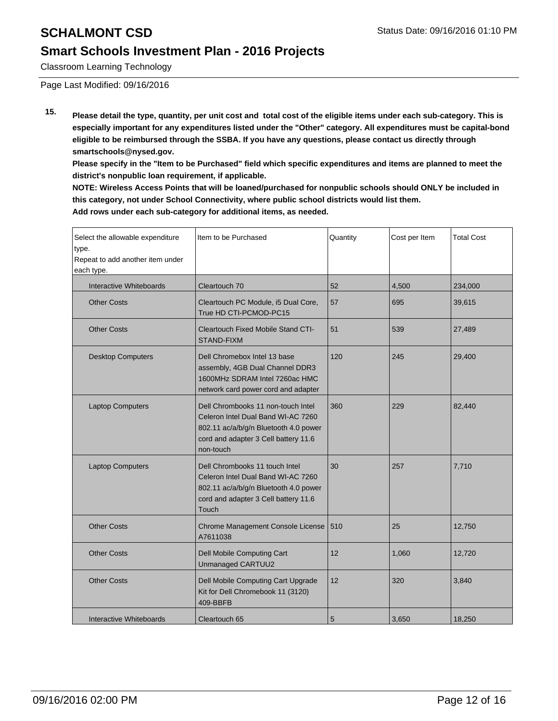Classroom Learning Technology

Page Last Modified: 09/16/2016

**15. Please detail the type, quantity, per unit cost and total cost of the eligible items under each sub-category. This is especially important for any expenditures listed under the "Other" category. All expenditures must be capital-bond eligible to be reimbursed through the SSBA. If you have any questions, please contact us directly through smartschools@nysed.gov.**

**Please specify in the "Item to be Purchased" field which specific expenditures and items are planned to meet the district's nonpublic loan requirement, if applicable.**

**NOTE: Wireless Access Points that will be loaned/purchased for nonpublic schools should ONLY be included in this category, not under School Connectivity, where public school districts would list them. Add rows under each sub-category for additional items, as needed.**

| Select the allowable expenditure<br>type.<br>Repeat to add another item under<br>each type. | Item to be Purchased                                                                                                                                                   | Quantity | Cost per Item | <b>Total Cost</b> |
|---------------------------------------------------------------------------------------------|------------------------------------------------------------------------------------------------------------------------------------------------------------------------|----------|---------------|-------------------|
| Interactive Whiteboards                                                                     | Cleartouch 70                                                                                                                                                          | 52       | 4,500         | 234,000           |
| <b>Other Costs</b>                                                                          | Cleartouch PC Module, i5 Dual Core,<br>True HD CTI-PCMOD-PC15                                                                                                          | 57       | 695           | 39,615            |
| <b>Other Costs</b>                                                                          | Cleartouch Fixed Mobile Stand CTI-<br><b>STAND-FIXM</b>                                                                                                                | 51       | 539           | 27,489            |
| <b>Desktop Computers</b>                                                                    | Dell Chromebox Intel 13 base<br>assembly, 4GB Dual Channel DDR3<br>1600MHz SDRAM Intel 7260ac HMC<br>network card power cord and adapter                               | 120      | 245           | 29,400            |
| <b>Laptop Computers</b>                                                                     | Dell Chrombooks 11 non-touch Intel<br>Celeron Intel Dual Band WI-AC 7260<br>802.11 ac/a/b/g/n Bluetooth 4.0 power<br>cord and adapter 3 Cell battery 11.6<br>non-touch | 360      | 229           | 82,440            |
| <b>Laptop Computers</b>                                                                     | Dell Chrombooks 11 touch Intel<br>Celeron Intel Dual Band WI-AC 7260<br>802.11 ac/a/b/g/n Bluetooth 4.0 power<br>cord and adapter 3 Cell battery 11.6<br>Touch         | 30       | 257           | 7,710             |
| <b>Other Costs</b>                                                                          | Chrome Management Console License<br>A7611038                                                                                                                          | 510      | 25            | 12,750            |
| <b>Other Costs</b>                                                                          | <b>Dell Mobile Computing Cart</b><br>Unmanaged CARTUU2                                                                                                                 | 12       | 1,060         | 12,720            |
| <b>Other Costs</b>                                                                          | Dell Mobile Computing Cart Upgrade<br>Kit for Dell Chromebook 11 (3120)<br>409-BBFB                                                                                    | 12       | 320           | 3,840             |
| Interactive Whiteboards                                                                     | Cleartouch 65                                                                                                                                                          | 5        | 3,650         | 18,250            |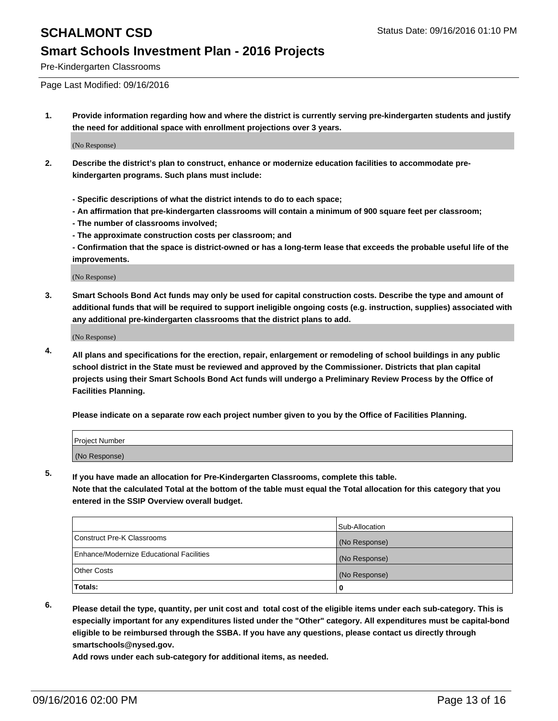Pre-Kindergarten Classrooms

Page Last Modified: 09/16/2016

**1. Provide information regarding how and where the district is currently serving pre-kindergarten students and justify the need for additional space with enrollment projections over 3 years.**

(No Response)

- **2. Describe the district's plan to construct, enhance or modernize education facilities to accommodate prekindergarten programs. Such plans must include:**
	- **Specific descriptions of what the district intends to do to each space;**
	- **An affirmation that pre-kindergarten classrooms will contain a minimum of 900 square feet per classroom;**
	- **The number of classrooms involved;**
	- **The approximate construction costs per classroom; and**
	- **Confirmation that the space is district-owned or has a long-term lease that exceeds the probable useful life of the improvements.**

(No Response)

**3. Smart Schools Bond Act funds may only be used for capital construction costs. Describe the type and amount of additional funds that will be required to support ineligible ongoing costs (e.g. instruction, supplies) associated with any additional pre-kindergarten classrooms that the district plans to add.**

(No Response)

**4. All plans and specifications for the erection, repair, enlargement or remodeling of school buildings in any public school district in the State must be reviewed and approved by the Commissioner. Districts that plan capital projects using their Smart Schools Bond Act funds will undergo a Preliminary Review Process by the Office of Facilities Planning.**

**Please indicate on a separate row each project number given to you by the Office of Facilities Planning.**

| Project Number |  |
|----------------|--|
| (No Response)  |  |

**5. If you have made an allocation for Pre-Kindergarten Classrooms, complete this table.**

**Note that the calculated Total at the bottom of the table must equal the Total allocation for this category that you entered in the SSIP Overview overall budget.**

|                                          | Sub-Allocation |
|------------------------------------------|----------------|
| Construct Pre-K Classrooms               | (No Response)  |
| Enhance/Modernize Educational Facilities | (No Response)  |
| Other Costs                              | (No Response)  |
| Totals:                                  |                |

**6. Please detail the type, quantity, per unit cost and total cost of the eligible items under each sub-category. This is especially important for any expenditures listed under the "Other" category. All expenditures must be capital-bond eligible to be reimbursed through the SSBA. If you have any questions, please contact us directly through smartschools@nysed.gov.**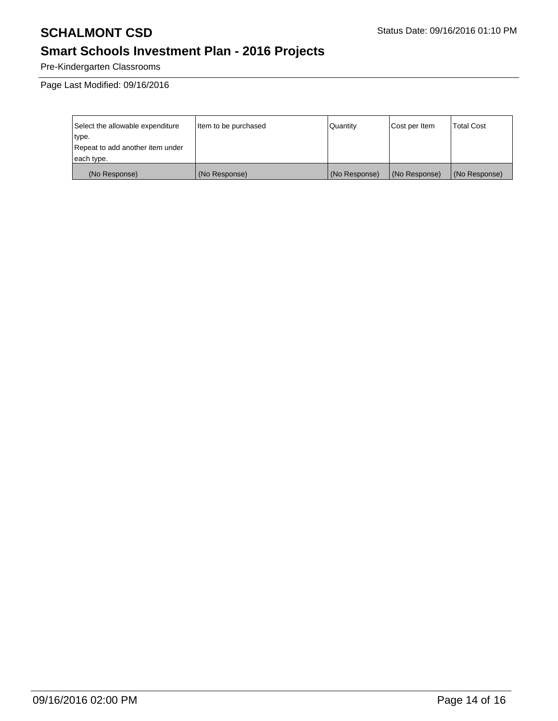# **SCHALMONT CSD** Status Date: 09/16/2016 01:10 PM

# **Smart Schools Investment Plan - 2016 Projects**

Pre-Kindergarten Classrooms

Page Last Modified: 09/16/2016

| Select the allowable expenditure | Item to be purchased | Quantity      | Cost per Item | <b>Total Cost</b> |
|----------------------------------|----------------------|---------------|---------------|-------------------|
| type.                            |                      |               |               |                   |
| Repeat to add another item under |                      |               |               |                   |
| each type.                       |                      |               |               |                   |
| (No Response)                    | (No Response)        | (No Response) | (No Response) | (No Response)     |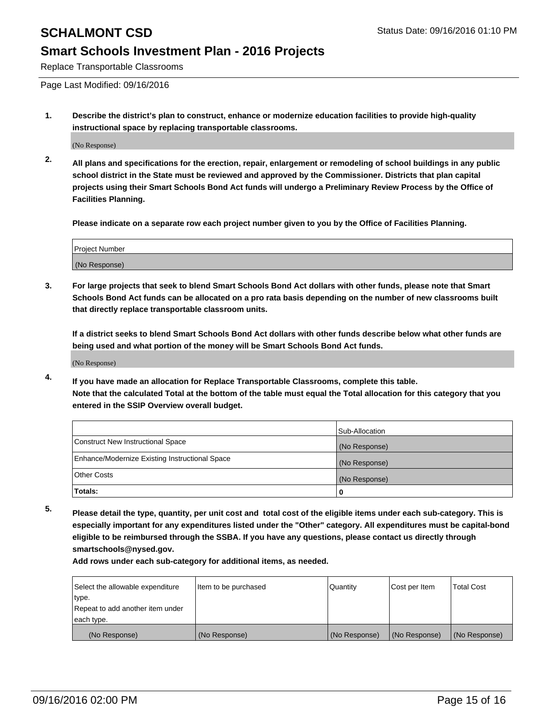Replace Transportable Classrooms

Page Last Modified: 09/16/2016

**1. Describe the district's plan to construct, enhance or modernize education facilities to provide high-quality instructional space by replacing transportable classrooms.**

(No Response)

**2. All plans and specifications for the erection, repair, enlargement or remodeling of school buildings in any public school district in the State must be reviewed and approved by the Commissioner. Districts that plan capital projects using their Smart Schools Bond Act funds will undergo a Preliminary Review Process by the Office of Facilities Planning.**

**Please indicate on a separate row each project number given to you by the Office of Facilities Planning.**

| Project Number |  |
|----------------|--|
| (No Response)  |  |

**3. For large projects that seek to blend Smart Schools Bond Act dollars with other funds, please note that Smart Schools Bond Act funds can be allocated on a pro rata basis depending on the number of new classrooms built that directly replace transportable classroom units.**

**If a district seeks to blend Smart Schools Bond Act dollars with other funds describe below what other funds are being used and what portion of the money will be Smart Schools Bond Act funds.**

(No Response)

**4. If you have made an allocation for Replace Transportable Classrooms, complete this table. Note that the calculated Total at the bottom of the table must equal the Total allocation for this category that you entered in the SSIP Overview overall budget.**

|                                                | Sub-Allocation |
|------------------------------------------------|----------------|
| Construct New Instructional Space              | (No Response)  |
| Enhance/Modernize Existing Instructional Space | (No Response)  |
| Other Costs                                    | (No Response)  |
| Totals:                                        | 0              |

**5. Please detail the type, quantity, per unit cost and total cost of the eligible items under each sub-category. This is especially important for any expenditures listed under the "Other" category. All expenditures must be capital-bond eligible to be reimbursed through the SSBA. If you have any questions, please contact us directly through smartschools@nysed.gov.**

| Select the allowable expenditure | Item to be purchased | Quantity      | Cost per Item | Total Cost    |
|----------------------------------|----------------------|---------------|---------------|---------------|
| type.                            |                      |               |               |               |
| Repeat to add another item under |                      |               |               |               |
| each type.                       |                      |               |               |               |
| (No Response)                    | (No Response)        | (No Response) | (No Response) | (No Response) |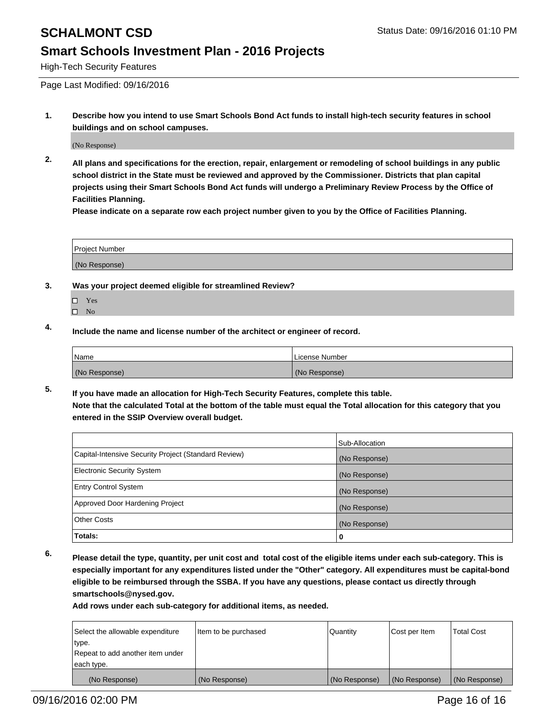High-Tech Security Features

Page Last Modified: 09/16/2016

**1. Describe how you intend to use Smart Schools Bond Act funds to install high-tech security features in school buildings and on school campuses.**

(No Response)

**2. All plans and specifications for the erection, repair, enlargement or remodeling of school buildings in any public school district in the State must be reviewed and approved by the Commissioner. Districts that plan capital projects using their Smart Schools Bond Act funds will undergo a Preliminary Review Process by the Office of Facilities Planning.** 

**Please indicate on a separate row each project number given to you by the Office of Facilities Planning.**

| <b>Project Number</b> |  |
|-----------------------|--|
| (No Response)         |  |

- **3. Was your project deemed eligible for streamlined Review?**
	- □ Yes
	- $\square$  No
- **4. Include the name and license number of the architect or engineer of record.**

| <b>Name</b>   | License Number |
|---------------|----------------|
| (No Response) | (No Response)  |

**5. If you have made an allocation for High-Tech Security Features, complete this table. Note that the calculated Total at the bottom of the table must equal the Total allocation for this category that you entered in the SSIP Overview overall budget.**

|                                                      | Sub-Allocation |
|------------------------------------------------------|----------------|
| Capital-Intensive Security Project (Standard Review) | (No Response)  |
| <b>Electronic Security System</b>                    | (No Response)  |
| <b>Entry Control System</b>                          | (No Response)  |
| Approved Door Hardening Project                      | (No Response)  |
| <b>Other Costs</b>                                   | (No Response)  |
| Totals:                                              | 0              |

**6. Please detail the type, quantity, per unit cost and total cost of the eligible items under each sub-category. This is especially important for any expenditures listed under the "Other" category. All expenditures must be capital-bond eligible to be reimbursed through the SSBA. If you have any questions, please contact us directly through smartschools@nysed.gov.**

| Select the allowable expenditure | Item to be purchased | Quantity      | Cost per Item | <b>Total Cost</b> |
|----------------------------------|----------------------|---------------|---------------|-------------------|
| type.                            |                      |               |               |                   |
| Repeat to add another item under |                      |               |               |                   |
| each type.                       |                      |               |               |                   |
| (No Response)                    | (No Response)        | (No Response) | (No Response) | (No Response)     |